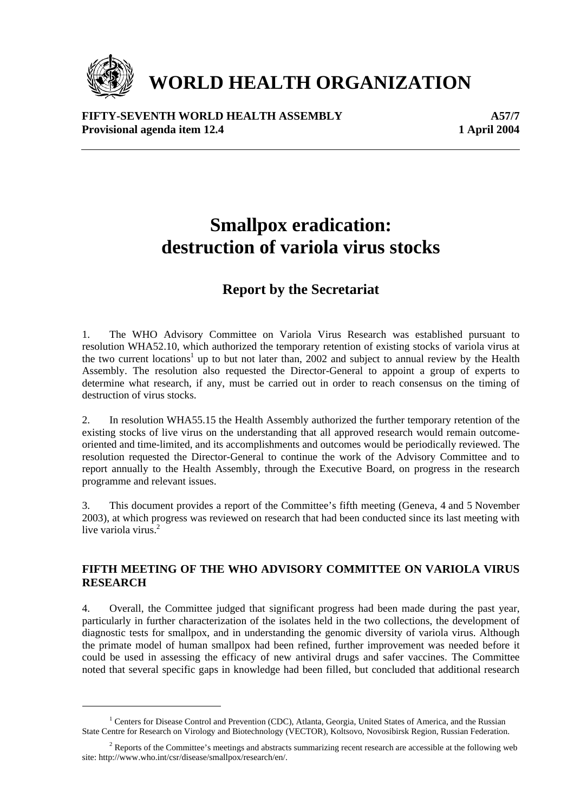

# **WORLD HEALTH ORGANIZATION**

#### **FIFTY-SEVENTH WORLD HEALTH ASSEMBLY A57/7 Provisional agenda item 12.4** 1 April 2004

# **Smallpox eradication: destruction of variola virus stocks**

# **Report by the Secretariat**

1. The WHO Advisory Committee on Variola Virus Research was established pursuant to resolution WHA52.10, which authorized the temporary retention of existing stocks of variola virus at the two current locations<sup>1</sup> up to but not later than, 2002 and subject to annual review by the Health Assembly. The resolution also requested the Director-General to appoint a group of experts to determine what research, if any, must be carried out in order to reach consensus on the timing of destruction of virus stocks.

2. In resolution WHA55.15 the Health Assembly authorized the further temporary retention of the existing stocks of live virus on the understanding that all approved research would remain outcomeoriented and time-limited, and its accomplishments and outcomes would be periodically reviewed. The resolution requested the Director-General to continue the work of the Advisory Committee and to report annually to the Health Assembly, through the Executive Board, on progress in the research programme and relevant issues.

3. This document provides a report of the Committee's fifth meeting (Geneva, 4 and 5 November 2003), at which progress was reviewed on research that had been conducted since its last meeting with live variola virus.<sup>2</sup>

### **FIFTH MEETING OF THE WHO ADVISORY COMMITTEE ON VARIOLA VIRUS RESEARCH**

4. Overall, the Committee judged that significant progress had been made during the past year, particularly in further characterization of the isolates held in the two collections, the development of diagnostic tests for smallpox, and in understanding the genomic diversity of variola virus. Although the primate model of human smallpox had been refined, further improvement was needed before it could be used in assessing the efficacy of new antiviral drugs and safer vaccines. The Committee noted that several specific gaps in knowledge had been filled, but concluded that additional research

<sup>&</sup>lt;sup>1</sup> Centers for Disease Control and Prevention (CDC), Atlanta, Georgia, United States of America, and the Russian State Centre for Research on Virology and Biotechnology (VECTOR), Koltsovo, Novosibirsk Region, Russian Federation.

 $2$  Reports of the Committee's meetings and abstracts summarizing recent research are accessible at the following web site: http://www.who.int/csr/disease/smallpox/research/en/.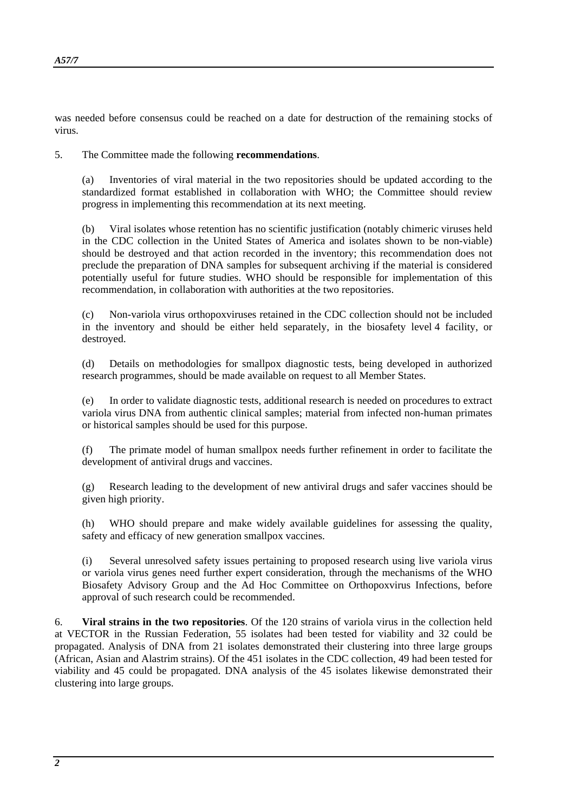was needed before consensus could be reached on a date for destruction of the remaining stocks of virus.

5. The Committee made the following **recommendations**.

(a) Inventories of viral material in the two repositories should be updated according to the standardized format established in collaboration with WHO; the Committee should review progress in implementing this recommendation at its next meeting.

(b) Viral isolates whose retention has no scientific justification (notably chimeric viruses held in the CDC collection in the United States of America and isolates shown to be non-viable) should be destroyed and that action recorded in the inventory; this recommendation does not preclude the preparation of DNA samples for subsequent archiving if the material is considered potentially useful for future studies. WHO should be responsible for implementation of this recommendation, in collaboration with authorities at the two repositories.

(c) Non-variola virus orthopoxviruses retained in the CDC collection should not be included in the inventory and should be either held separately, in the biosafety level 4 facility, or destroyed.

(d) Details on methodologies for smallpox diagnostic tests, being developed in authorized research programmes, should be made available on request to all Member States.

(e) In order to validate diagnostic tests, additional research is needed on procedures to extract variola virus DNA from authentic clinical samples; material from infected non-human primates or historical samples should be used for this purpose.

(f) The primate model of human smallpox needs further refinement in order to facilitate the development of antiviral drugs and vaccines.

(g) Research leading to the development of new antiviral drugs and safer vaccines should be given high priority.

(h) WHO should prepare and make widely available guidelines for assessing the quality, safety and efficacy of new generation smallpox vaccines.

(i) Several unresolved safety issues pertaining to proposed research using live variola virus or variola virus genes need further expert consideration, through the mechanisms of the WHO Biosafety Advisory Group and the Ad Hoc Committee on Orthopoxvirus Infections, before approval of such research could be recommended.

6. **Viral strains in the two repositories**. Of the 120 strains of variola virus in the collection held at VECTOR in the Russian Federation, 55 isolates had been tested for viability and 32 could be propagated. Analysis of DNA from 21 isolates demonstrated their clustering into three large groups (African, Asian and Alastrim strains). Of the 451 isolates in the CDC collection, 49 had been tested for viability and 45 could be propagated. DNA analysis of the 45 isolates likewise demonstrated their clustering into large groups.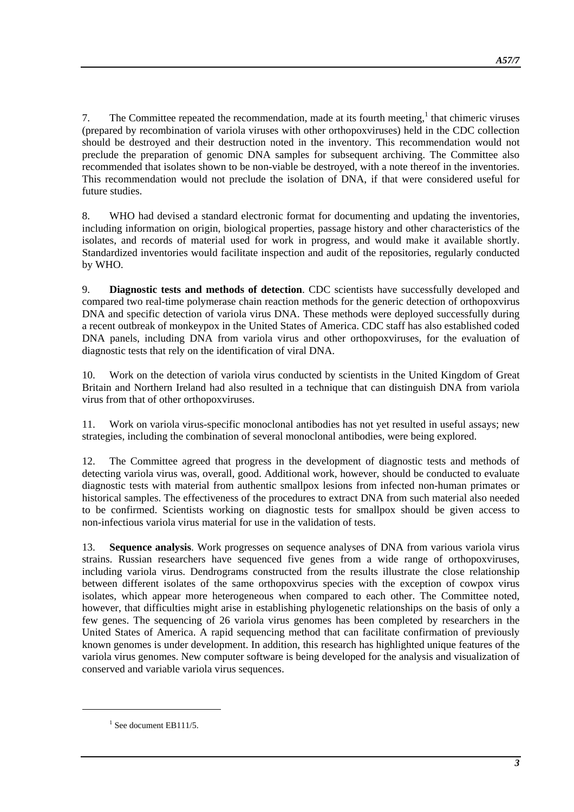7. The Committee repeated the recommendation, made at its fourth meeting, $<sup>1</sup>$  that chimeric viruses</sup> (prepared by recombination of variola viruses with other orthopoxviruses) held in the CDC collection should be destroyed and their destruction noted in the inventory. This recommendation would not preclude the preparation of genomic DNA samples for subsequent archiving. The Committee also recommended that isolates shown to be non-viable be destroyed, with a note thereof in the inventories. This recommendation would not preclude the isolation of DNA, if that were considered useful for future studies.

8. WHO had devised a standard electronic format for documenting and updating the inventories, including information on origin, biological properties, passage history and other characteristics of the isolates, and records of material used for work in progress, and would make it available shortly. Standardized inventories would facilitate inspection and audit of the repositories, regularly conducted by WHO.

9. **Diagnostic tests and methods of detection**. CDC scientists have successfully developed and compared two real-time polymerase chain reaction methods for the generic detection of orthopoxvirus DNA and specific detection of variola virus DNA. These methods were deployed successfully during a recent outbreak of monkeypox in the United States of America. CDC staff has also established coded DNA panels, including DNA from variola virus and other orthopoxviruses, for the evaluation of diagnostic tests that rely on the identification of viral DNA.

10. Work on the detection of variola virus conducted by scientists in the United Kingdom of Great Britain and Northern Ireland had also resulted in a technique that can distinguish DNA from variola virus from that of other orthopoxviruses.

11. Work on variola virus-specific monoclonal antibodies has not yet resulted in useful assays; new strategies, including the combination of several monoclonal antibodies, were being explored.

12. The Committee agreed that progress in the development of diagnostic tests and methods of detecting variola virus was, overall, good. Additional work, however, should be conducted to evaluate diagnostic tests with material from authentic smallpox lesions from infected non-human primates or historical samples. The effectiveness of the procedures to extract DNA from such material also needed to be confirmed. Scientists working on diagnostic tests for smallpox should be given access to non-infectious variola virus material for use in the validation of tests.

13. **Sequence analysis**. Work progresses on sequence analyses of DNA from various variola virus strains. Russian researchers have sequenced five genes from a wide range of orthopoxviruses, including variola virus. Dendrograms constructed from the results illustrate the close relationship between different isolates of the same orthopoxvirus species with the exception of cowpox virus isolates, which appear more heterogeneous when compared to each other. The Committee noted, however, that difficulties might arise in establishing phylogenetic relationships on the basis of only a few genes. The sequencing of 26 variola virus genomes has been completed by researchers in the United States of America. A rapid sequencing method that can facilitate confirmation of previously known genomes is under development. In addition, this research has highlighted unique features of the variola virus genomes. New computer software is being developed for the analysis and visualization of conserved and variable variola virus sequences.

 $1$  See document EB111/5.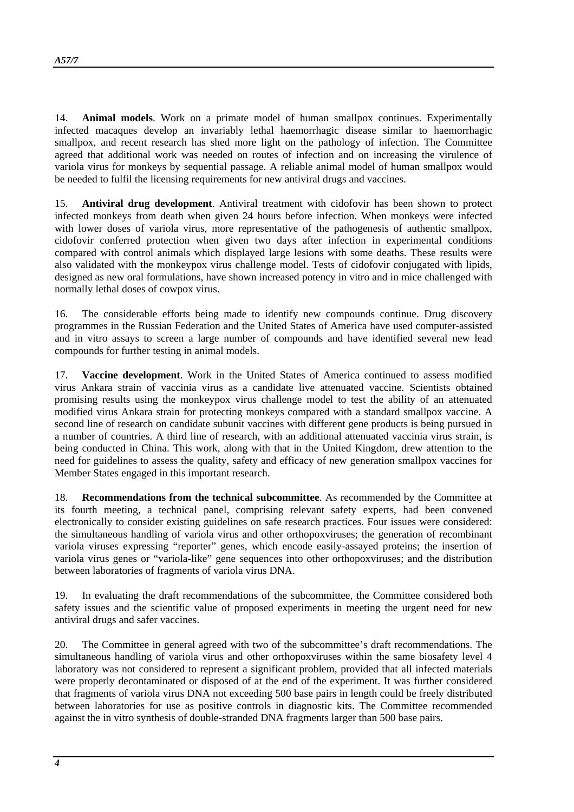14. **Animal models**. Work on a primate model of human smallpox continues. Experimentally infected macaques develop an invariably lethal haemorrhagic disease similar to haemorrhagic smallpox, and recent research has shed more light on the pathology of infection. The Committee agreed that additional work was needed on routes of infection and on increasing the virulence of variola virus for monkeys by sequential passage. A reliable animal model of human smallpox would be needed to fulfil the licensing requirements for new antiviral drugs and vaccines.

15. **Antiviral drug development**. Antiviral treatment with cidofovir has been shown to protect infected monkeys from death when given 24 hours before infection. When monkeys were infected with lower doses of variola virus, more representative of the pathogenesis of authentic smallpox, cidofovir conferred protection when given two days after infection in experimental conditions compared with control animals which displayed large lesions with some deaths. These results were also validated with the monkeypox virus challenge model. Tests of cidofovir conjugated with lipids, designed as new oral formulations, have shown increased potency in vitro and in mice challenged with normally lethal doses of cowpox virus.

16. The considerable efforts being made to identify new compounds continue. Drug discovery programmes in the Russian Federation and the United States of America have used computer-assisted and in vitro assays to screen a large number of compounds and have identified several new lead compounds for further testing in animal models.

17. **Vaccine development**. Work in the United States of America continued to assess modified virus Ankara strain of vaccinia virus as a candidate live attenuated vaccine. Scientists obtained promising results using the monkeypox virus challenge model to test the ability of an attenuated modified virus Ankara strain for protecting monkeys compared with a standard smallpox vaccine. A second line of research on candidate subunit vaccines with different gene products is being pursued in a number of countries. A third line of research, with an additional attenuated vaccinia virus strain, is being conducted in China. This work, along with that in the United Kingdom, drew attention to the need for guidelines to assess the quality, safety and efficacy of new generation smallpox vaccines for Member States engaged in this important research.

18. **Recommendations from the technical subcommittee**. As recommended by the Committee at its fourth meeting, a technical panel, comprising relevant safety experts, had been convened electronically to consider existing guidelines on safe research practices. Four issues were considered: the simultaneous handling of variola virus and other orthopoxviruses; the generation of recombinant variola viruses expressing "reporter" genes, which encode easily-assayed proteins; the insertion of variola virus genes or "variola-like" gene sequences into other orthopoxviruses; and the distribution between laboratories of fragments of variola virus DNA.

19. In evaluating the draft recommendations of the subcommittee, the Committee considered both safety issues and the scientific value of proposed experiments in meeting the urgent need for new antiviral drugs and safer vaccines.

20. The Committee in general agreed with two of the subcommittee's draft recommendations. The simultaneous handling of variola virus and other orthopoxviruses within the same biosafety level 4 laboratory was not considered to represent a significant problem, provided that all infected materials were properly decontaminated or disposed of at the end of the experiment. It was further considered that fragments of variola virus DNA not exceeding 500 base pairs in length could be freely distributed between laboratories for use as positive controls in diagnostic kits. The Committee recommended against the in vitro synthesis of double-stranded DNA fragments larger than 500 base pairs.